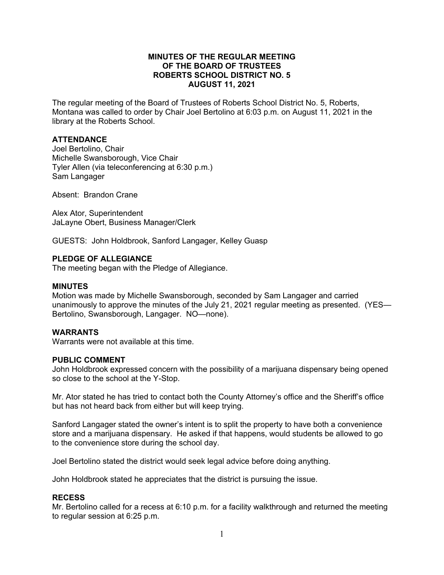## **MINUTES OF THE REGULAR MEETING OF THE BOARD OF TRUSTEES ROBERTS SCHOOL DISTRICT NO. 5 AUGUST 11, 2021**

The regular meeting of the Board of Trustees of Roberts School District No. 5, Roberts, Montana was called to order by Chair Joel Bertolino at 6:03 p.m. on August 11, 2021 in the library at the Roberts School.

# **ATTENDANCE**

Joel Bertolino, Chair Michelle Swansborough, Vice Chair Tyler Allen (via teleconferencing at 6:30 p.m.) Sam Langager

Absent: Brandon Crane

Alex Ator, Superintendent JaLayne Obert, Business Manager/Clerk

GUESTS: John Holdbrook, Sanford Langager, Kelley Guasp

### **PLEDGE OF ALLEGIANCE**

The meeting began with the Pledge of Allegiance.

#### **MINUTES**

Motion was made by Michelle Swansborough, seconded by Sam Langager and carried unanimously to approve the minutes of the July 21, 2021 regular meeting as presented. (YES— Bertolino, Swansborough, Langager. NO—none).

### **WARRANTS**

Warrants were not available at this time.

## **PUBLIC COMMENT**

John Holdbrook expressed concern with the possibility of a marijuana dispensary being opened so close to the school at the Y-Stop.

Mr. Ator stated he has tried to contact both the County Attorney's office and the Sheriff's office but has not heard back from either but will keep trying.

Sanford Langager stated the owner's intent is to split the property to have both a convenience store and a marijuana dispensary. He asked if that happens, would students be allowed to go to the convenience store during the school day.

Joel Bertolino stated the district would seek legal advice before doing anything.

John Holdbrook stated he appreciates that the district is pursuing the issue.

### **RECESS**

Mr. Bertolino called for a recess at 6:10 p.m. for a facility walkthrough and returned the meeting to regular session at 6:25 p.m.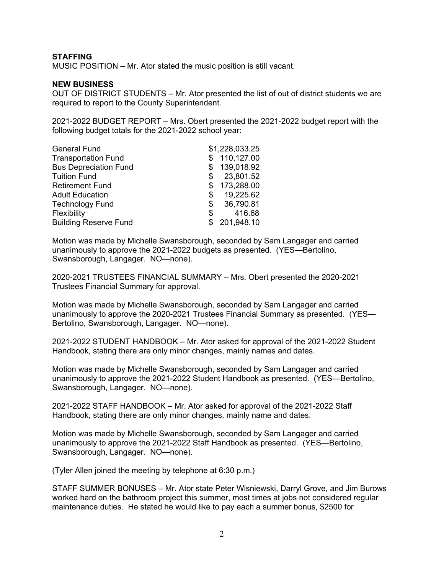## **STAFFING**

MUSIC POSITION – Mr. Ator stated the music position is still vacant.

#### **NEW BUSINESS**

OUT OF DISTRICT STUDENTS – Mr. Ator presented the list of out of district students we are required to report to the County Superintendent.

2021-2022 BUDGET REPORT – Mrs. Obert presented the 2021-2022 budget report with the following budget totals for the 2021-2022 school year:

| <b>General Fund</b>          |    | \$1,228,033.25 |
|------------------------------|----|----------------|
| <b>Transportation Fund</b>   |    | 110,127.00     |
| <b>Bus Depreciation Fund</b> |    | 139,018.92     |
| <b>Tuition Fund</b>          | \$ | 23,801.52      |
| <b>Retirement Fund</b>       | S  | 173,288.00     |
| <b>Adult Education</b>       | S  | 19,225.62      |
| <b>Technology Fund</b>       | \$ | 36,790.81      |
| Flexibility                  | S  | 416.68         |
| <b>Building Reserve Fund</b> |    | 201,948.10     |

Motion was made by Michelle Swansborough, seconded by Sam Langager and carried unanimously to approve the 2021-2022 budgets as presented. (YES—Bertolino, Swansborough, Langager. NO—none).

2020-2021 TRUSTEES FINANCIAL SUMMARY – Mrs. Obert presented the 2020-2021 Trustees Financial Summary for approval.

Motion was made by Michelle Swansborough, seconded by Sam Langager and carried unanimously to approve the 2020-2021 Trustees Financial Summary as presented. (YES— Bertolino, Swansborough, Langager. NO—none).

2021-2022 STUDENT HANDBOOK – Mr. Ator asked for approval of the 2021-2022 Student Handbook, stating there are only minor changes, mainly names and dates.

Motion was made by Michelle Swansborough, seconded by Sam Langager and carried unanimously to approve the 2021-2022 Student Handbook as presented. (YES—Bertolino, Swansborough, Langager. NO—none).

2021-2022 STAFF HANDBOOK – Mr. Ator asked for approval of the 2021-2022 Staff Handbook, stating there are only minor changes, mainly name and dates.

Motion was made by Michelle Swansborough, seconded by Sam Langager and carried unanimously to approve the 2021-2022 Staff Handbook as presented. (YES—Bertolino, Swansborough, Langager. NO—none).

(Tyler Allen joined the meeting by telephone at 6:30 p.m.)

STAFF SUMMER BONUSES – Mr. Ator state Peter Wisniewski, Darryl Grove, and Jim Burows worked hard on the bathroom project this summer, most times at jobs not considered regular maintenance duties. He stated he would like to pay each a summer bonus, \$2500 for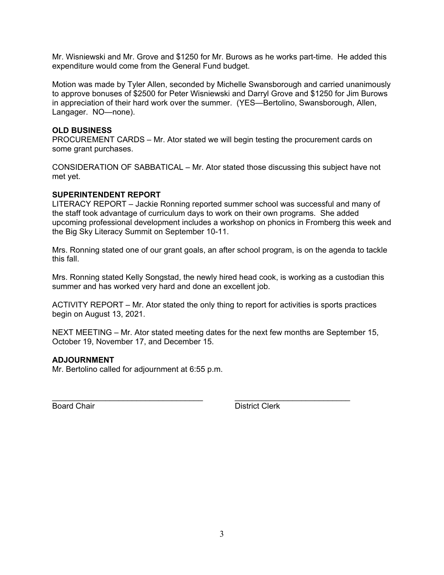Mr. Wisniewski and Mr. Grove and \$1250 for Mr. Burows as he works part-time. He added this expenditure would come from the General Fund budget.

Motion was made by Tyler Allen, seconded by Michelle Swansborough and carried unanimously to approve bonuses of \$2500 for Peter Wisniewski and Darryl Grove and \$1250 for Jim Burows in appreciation of their hard work over the summer. (YES—Bertolino, Swansborough, Allen, Langager. NO—none).

## **OLD BUSINESS**

PROCUREMENT CARDS – Mr. Ator stated we will begin testing the procurement cards on some grant purchases.

CONSIDERATION OF SABBATICAL – Mr. Ator stated those discussing this subject have not met yet.

## **SUPERINTENDENT REPORT**

LITERACY REPORT – Jackie Ronning reported summer school was successful and many of the staff took advantage of curriculum days to work on their own programs. She added upcoming professional development includes a workshop on phonics in Fromberg this week and the Big Sky Literacy Summit on September 10-11.

Mrs. Ronning stated one of our grant goals, an after school program, is on the agenda to tackle this fall.

Mrs. Ronning stated Kelly Songstad, the newly hired head cook, is working as a custodian this summer and has worked very hard and done an excellent job.

ACTIVITY REPORT – Mr. Ator stated the only thing to report for activities is sports practices begin on August 13, 2021.

NEXT MEETING – Mr. Ator stated meeting dates for the next few months are September 15, October 19, November 17, and December 15.

\_\_\_\_\_\_\_\_\_\_\_\_\_\_\_\_\_\_\_\_\_\_\_\_\_\_\_\_\_\_\_\_\_\_ \_\_\_\_\_\_\_\_\_\_\_\_\_\_\_\_\_\_\_\_\_\_\_\_\_\_

# **ADJOURNMENT**

Mr. Bertolino called for adjournment at 6:55 p.m.

Board Chair **District Clerk**